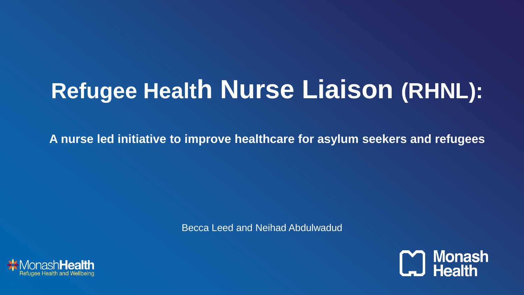# **Refugee Health Nurse Liaison (RHNL):**

**A nurse led initiative to improve healthcare for asylum seekers and refugees**

Becca Leed and Neihad Abdulwadud



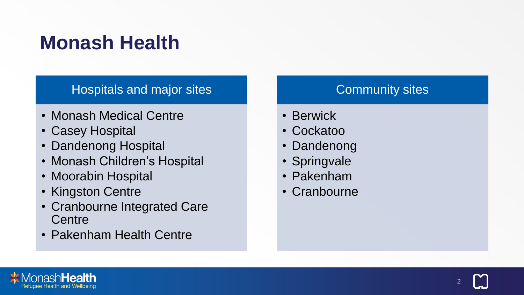# **Monash Health**

#### Hospitals and major sites

- Monash Medical Centre
- Casey Hospital
- Dandenong Hospital
- Monash Children's Hospital
- Moorabin Hospital
- Kingston Centre
- Cranbourne Integrated Care **Centre**
- Pakenham Health Centre

#### Community sites

2

- Berwick
- Cockatoo
- Dandenong
- Springvale
- Pakenham
- Cranbourne

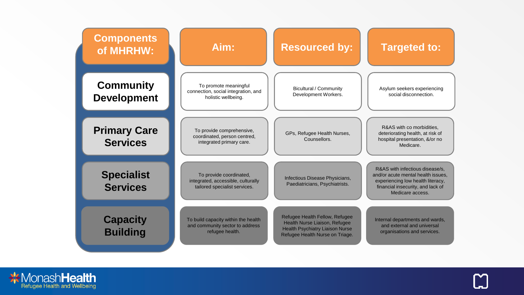



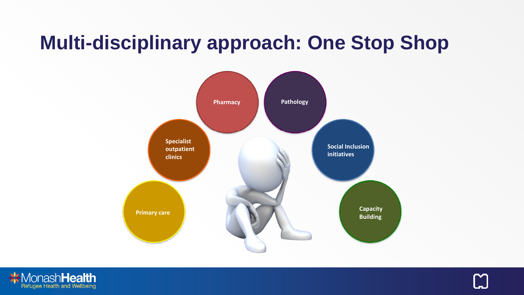### **Multi-disciplinary approach: One Stop Shop**





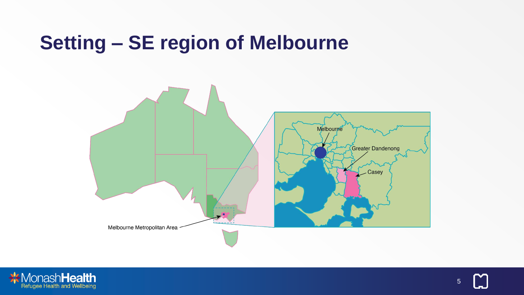### **Setting – SE region of Melbourne**





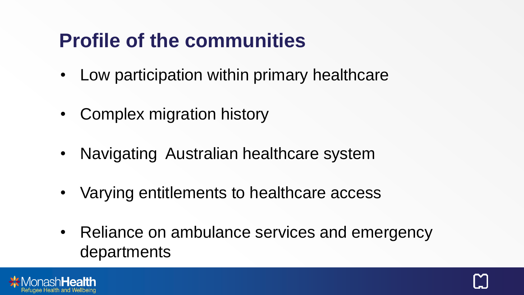### **Profile of the communities**

- Low participation within primary healthcare
- Complex migration history
- Navigating Australian healthcare system
- Varying entitlements to healthcare access
- Reliance on ambulance services and emergency departments

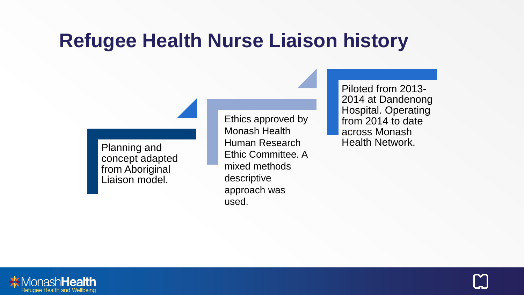### **Refugee Health Nurse Liaison history**

Planning and concept adapted from Aboriginal Liaison model.

Ethics approved by Monash Health Human Research Ethic Committee. A mixed methods descriptive approach was used.

Piloted from 2013- 2014 at Dandenong Hospital. Operating from 2014 to date across Monash Health Network.



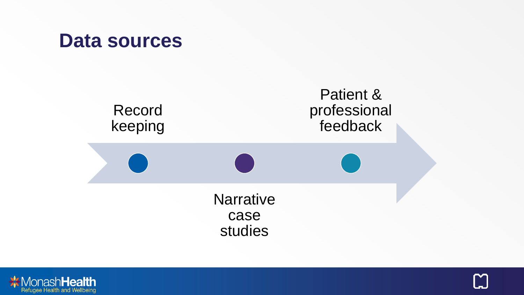#### **Data sources**





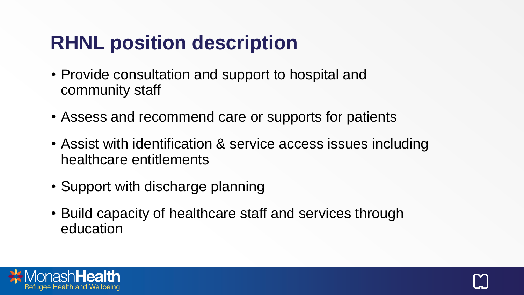# **RHNL position description**

- Provide consultation and support to hospital and community staff
- Assess and recommend care or supports for patients
- Assist with identification & service access issues including healthcare entitlements
- Support with discharge planning
- Build capacity of healthcare staff and services through education

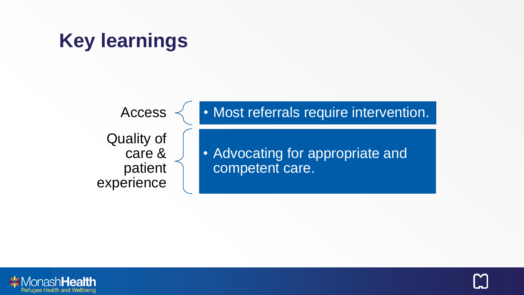# **Key learnings**





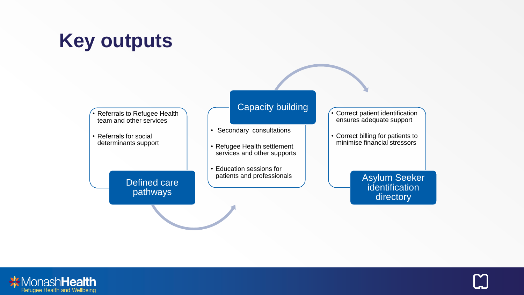# **Key outputs**

- Referrals to Refugee Health team and other services
- Referrals for social determinants support

Defined care pathways

#### Capacity building

- Secondary consultations
- Refugee Health settlement services and other supports
- Education sessions for patients and professionals

• Correct patient identification ensures adequate support

• Correct billing for patients to minimise financial stressors

> Asylum Seeker identification directory